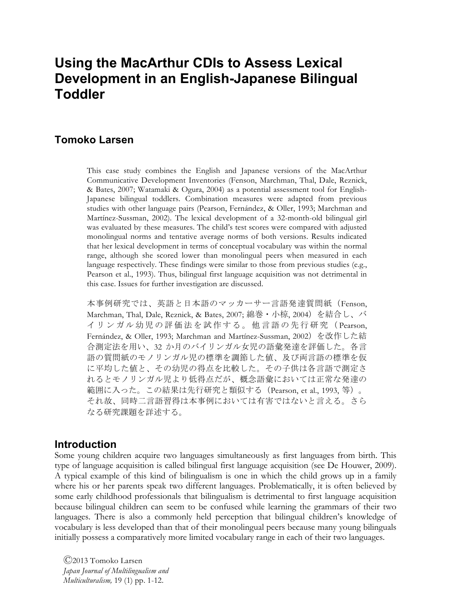# **Using the MacArthur CDIs to Assess Lexical Development in an English-Japanese Bilingual Toddler**

# **Tomoko Larsen**

This case study combines the English and Japanese versions of the MacArthur Communicative Development Inventories (Fenson, Marchman, Thal, Dale, Reznick, & Bates, 2007; Watamaki & Ogura, 2004) as a potential assessment tool for English-Japanese bilingual toddlers. Combination measures were adapted from previous studies with other language pairs (Pearson, Fernández, & Oller, 1993; Marchman and Martínez-Sussman, 2002). The lexical development of a 32-month-old bilingual girl was evaluated by these measures. The child's test scores were compared with adjusted monolingual norms and tentative average norms of both versions. Results indicated that her lexical development in terms of conceptual vocabulary was within the normal range, although she scored lower than monolingual peers when measured in each language respectively. These findings were similar to those from previous studies (e.g., Pearson et al., 1993). Thus, bilingual first language acquisition was not detrimental in this case. Issues for further investigation are discussed.

本事例研究では、英語と日本語のマッカーサー言語発達質問紙(Fenson, Marchman, Thal, Dale, Reznick, & Bates, 2007; 綿巻・小椋, 2004)を結合し、バ イリンガル幼児の評価法を試作する。他言語の先行研究( Pearson, Fernández, & Oller, 1993; Marchman and Martínez-Sussman, 2002) を改作した結 合測定法を用い、32 か月のバイリンガル女児の語彙発達を評価した。各言 語の質問紙のモノリンガル児の標準を調節した値、及び両言語の標準を仮 に平均した値と、その幼児の得点を比較した。その子供は各言語で測定さ れるとモノリンガル児より低得点だが、概念語彙においては正常な発達の 範囲に入った。この結果は先行研究と類似する(Pearson, et al., 1993, 等)。 それ故、同時二言語習得は本事例においては有害ではないと言える。さら なる研究課題を詳述する。

# **Introduction**

Some young children acquire two languages simultaneously as first languages from birth. This type of language acquisition is called bilingual first language acquisition (see De Houwer, 2009). A typical example of this kind of bilingualism is one in which the child grows up in a family where his or her parents speak two different languages. Problematically, it is often believed by some early childhood professionals that bilingualism is detrimental to first language acquisition because bilingual children can seem to be confused while learning the grammars of their two languages. There is also a commonly held perception that bilingual children's knowledge of vocabulary is less developed than that of their monolingual peers because many young bilinguals initially possess a comparatively more limited vocabulary range in each of their two languages.

Ⓒ2013 Tomoko Larsen *Japan Journal of Multilingualism and Multiculturalism,* 19 (1) pp. 1-12.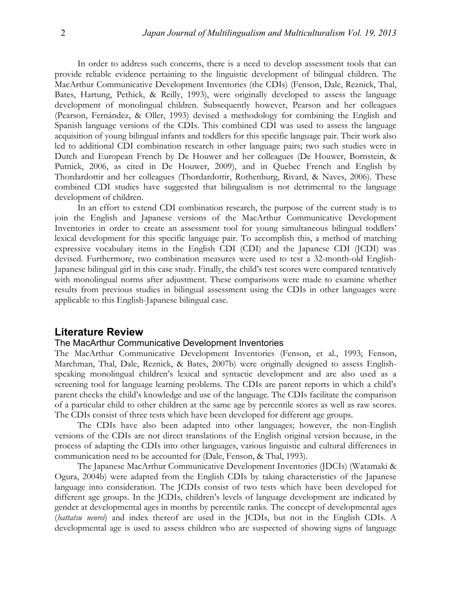In order to address such concerns, there is a need to develop assessment tools that can provide reliable evidence pertaining to the linguistic development of bilingual children. The MacArthur Communicative Development Inventories (the CDIs) (Fenson, Dale, Reznick, Thal, Bates, Hartung, Pethick, & Reilly, 1993), were originally developed to assess the language development of monolingual children. Subsequently however, Pearson and her colleagues (Pearson, Fernández, & Oller, 1993) devised a methodology for combining the English and Spanish language versions of the CDIs. This combined CDI was used to assess the language acquisition of young bilingual infants and toddlers for this specific language pair. Their work also led to additional CDI combination research in other language pairs; two such studies were in Dutch and European French by De Houwer and her colleagues (De Houwer, Bornstein, & Putnick, 2006, as cited in De Houwer, 2009), and in Quebec French and English by Thordardottir and her colleagues (Thordardottir, Rothenburg, Rivard, & Naves, 2006). These combined CDI studies have suggested that bilingualism is not detrimental to the language development of children.

In an effort to extend CDI combination research, the purpose of the current study is to join the English and Japanese versions of the MacArthur Communicative Development Inventories in order to create an assessment tool for young simultaneous bilingual toddlers' lexical development for this specific language pair. To accomplish this, a method of matching expressive vocabulary items in the English CDI (CDI) and the Japanese CDI (JCDI) was devised. Furthermore, two combination measures were used to test a 32-month-old English-Japanese bilingual girl in this case study. Finally, the child's test scores were compared tentatively with monolingual norms after adjustment. These comparisons were made to examine whether results from previous studies in bilingual assessment using the CDIs in other languages were applicable to this English-Japanese bilingual case.

# **Literature Review**

## The MacArthur Communicative Development Inventories

The MacArthur Communicative Development Inventories (Fenson, et al., 1993; Fenson, Marchman, Thal, Dale, Reznick, & Bates, 2007b) were originally designed to assess Englishspeaking monolingual children's lexical and syntactic development and are also used as a screening tool for language learning problems. The CDIs are parent reports in which a child's parent checks the child's knowledge and use of the language. The CDIs facilitate the comparison of a particular child to other children at the same age by percentile scores as well as raw scores. The CDIs consist of three tests which have been developed for different age groups.

The CDIs have also been adapted into other languages; however, the non-English versions of the CDIs are not direct translations of the English original version because, in the process of adapting the CDIs into other languages, various linguistic and cultural differences in communication need to be accounted for (Dale, Fenson, & Thal, 1993).

The Japanese MacArthur Communicative Development Inventories (JDCIs) (Watamaki & Ogura, 2004b) were adapted from the English CDIs by taking characteristics of the Japanese language into consideration. The JCDIs consist of two tests which have been developed for different age groups. In the JCDIs, children's levels of language development are indicated by gender at developmental ages in months by percentile ranks. The concept of developmental ages (*hattatsu nenrei*) and index thereof are used in the JCDIs, but not in the English CDIs. A developmental age is used to assess children who are suspected of showing signs of language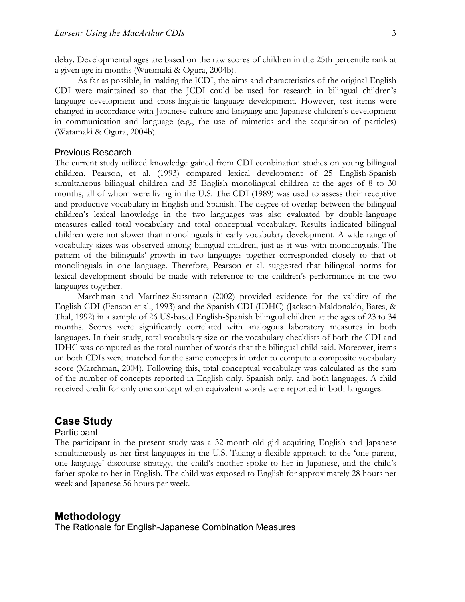delay. Developmental ages are based on the raw scores of children in the 25th percentile rank at a given age in months (Watamaki & Ogura, 2004b).

As far as possible, in making the JCDI, the aims and characteristics of the original English CDI were maintained so that the JCDI could be used for research in bilingual children's language development and cross-linguistic language development. However, test items were changed in accordance with Japanese culture and language and Japanese children's development in communication and language (e.g., the use of mimetics and the acquisition of particles) (Watamaki & Ogura, 2004b).

# Previous Research

The current study utilized knowledge gained from CDI combination studies on young bilingual children. Pearson, et al. (1993) compared lexical development of 25 English-Spanish simultaneous bilingual children and 35 English monolingual children at the ages of 8 to 30 months, all of whom were living in the U.S. The CDI (1989) was used to assess their receptive and productive vocabulary in English and Spanish. The degree of overlap between the bilingual children's lexical knowledge in the two languages was also evaluated by double-language measures called total vocabulary and total conceptual vocabulary. Results indicated bilingual children were not slower than monolinguals in early vocabulary development. A wide range of vocabulary sizes was observed among bilingual children, just as it was with monolinguals. The pattern of the bilinguals' growth in two languages together corresponded closely to that of monolinguals in one language. Therefore, Pearson et al. suggested that bilingual norms for lexical development should be made with reference to the children's performance in the two languages together.

Marchman and Martínez-Sussmann (2002) provided evidence for the validity of the English CDI (Fenson et al., 1993) and the Spanish CDI (IDHC) (Jackson-Maldonaldo, Bates, & Thal, 1992) in a sample of 26 US-based English-Spanish bilingual children at the ages of 23 to 34 months. Scores were significantly correlated with analogous laboratory measures in both languages. In their study, total vocabulary size on the vocabulary checklists of both the CDI and IDHC was computed as the total number of words that the bilingual child said. Moreover, items on both CDIs were matched for the same concepts in order to compute a composite vocabulary score (Marchman, 2004). Following this, total conceptual vocabulary was calculated as the sum of the number of concepts reported in English only, Spanish only, and both languages. A child received credit for only one concept when equivalent words were reported in both languages.

# **Case Study**

# **Participant**

The participant in the present study was a 32-month-old girl acquiring English and Japanese simultaneously as her first languages in the U.S. Taking a flexible approach to the 'one parent, one language' discourse strategy, the child's mother spoke to her in Japanese, and the child's father spoke to her in English. The child was exposed to English for approximately 28 hours per week and Japanese 56 hours per week.

# **Methodology**

The Rationale for English-Japanese Combination Measures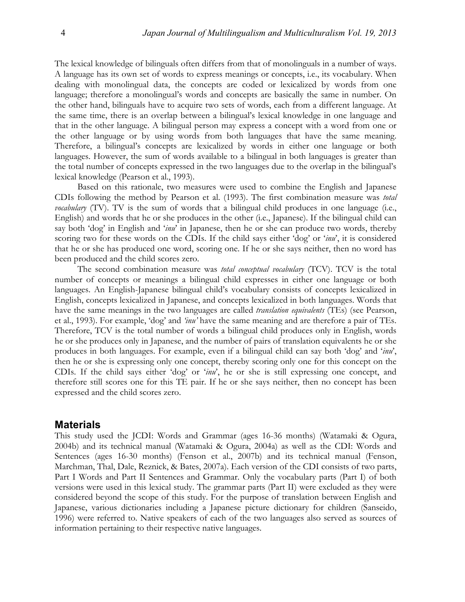The lexical knowledge of bilinguals often differs from that of monolinguals in a number of ways. A language has its own set of words to express meanings or concepts, i.e., its vocabulary. When dealing with monolingual data, the concepts are coded or lexicalized by words from one language; therefore a monolingual's words and concepts are basically the same in number. On the other hand, bilinguals have to acquire two sets of words, each from a different language. At the same time, there is an overlap between a bilingual's lexical knowledge in one language and that in the other language. A bilingual person may express a concept with a word from one or the other language or by using words from both languages that have the same meaning. Therefore, a bilingual's concepts are lexicalized by words in either one language or both languages. However, the sum of words available to a bilingual in both languages is greater than the total number of concepts expressed in the two languages due to the overlap in the bilingual's lexical knowledge (Pearson et al., 1993).

Based on this rationale, two measures were used to combine the English and Japanese CDIs following the method by Pearson et al. (1993). The first combination measure was *total vocabulary* (TV). TV is the sum of words that a bilingual child produces in one language (i.e., English) and words that he or she produces in the other (i.e., Japanese). If the bilingual child can say both 'dog' in English and '*inu*' in Japanese, then he or she can produce two words, thereby scoring two for these words on the CDIs. If the child says either 'dog' or '*inu*', it is considered that he or she has produced one word, scoring one. If he or she says neither, then no word has been produced and the child scores zero.

The second combination measure was *total conceptual vocabulary* (TCV). TCV is the total number of concepts or meanings a bilingual child expresses in either one language or both languages. An English-Japanese bilingual child's vocabulary consists of concepts lexicalized in English, concepts lexicalized in Japanese, and concepts lexicalized in both languages. Words that have the same meanings in the two languages are called *translation equivalents* (TEs) (see Pearson, et al., 1993). For example, 'dog' and *'inu'* have the same meaning and are therefore a pair of TEs. Therefore, TCV is the total number of words a bilingual child produces only in English, words he or she produces only in Japanese, and the number of pairs of translation equivalents he or she produces in both languages. For example, even if a bilingual child can say both 'dog' and '*inu*', then he or she is expressing only one concept, thereby scoring only one for this concept on the CDIs. If the child says either 'dog' or '*inu*', he or she is still expressing one concept, and therefore still scores one for this TE pair. If he or she says neither, then no concept has been expressed and the child scores zero.

## **Materials**

This study used the JCDI: Words and Grammar (ages 16-36 months) (Watamaki & Ogura, 2004b) and its technical manual (Watamaki & Ogura, 2004a) as well as the CDI: Words and Sentences (ages 16-30 months) (Fenson et al., 2007b) and its technical manual (Fenson, Marchman, Thal, Dale, Reznick, & Bates, 2007a). Each version of the CDI consists of two parts, Part I Words and Part II Sentences and Grammar. Only the vocabulary parts (Part I) of both versions were used in this lexical study. The grammar parts (Part II) were excluded as they were considered beyond the scope of this study. For the purpose of translation between English and Japanese, various dictionaries including a Japanese picture dictionary for children (Sanseido, 1996) were referred to. Native speakers of each of the two languages also served as sources of information pertaining to their respective native languages.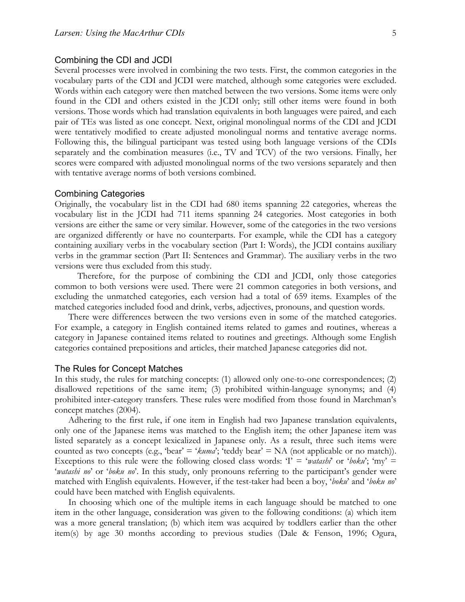#### Combining the CDI and JCDI

Several processes were involved in combining the two tests. First, the common categories in the vocabulary parts of the CDI and JCDI were matched, although some categories were excluded. Words within each category were then matched between the two versions. Some items were only found in the CDI and others existed in the JCDI only; still other items were found in both versions. Those words which had translation equivalents in both languages were paired, and each pair of TEs was listed as one concept. Next, original monolingual norms of the CDI and JCDI were tentatively modified to create adjusted monolingual norms and tentative average norms. Following this, the bilingual participant was tested using both language versions of the CDIs separately and the combination measures (i.e., TV and TCV) of the two versions. Finally, her scores were compared with adjusted monolingual norms of the two versions separately and then with tentative average norms of both versions combined.

#### Combining Categories

Originally, the vocabulary list in the CDI had 680 items spanning 22 categories, whereas the vocabulary list in the JCDI had 711 items spanning 24 categories. Most categories in both versions are either the same or very similar. However, some of the categories in the two versions are organized differently or have no counterparts. For example, while the CDI has a category containing auxiliary verbs in the vocabulary section (Part I: Words), the JCDI contains auxiliary verbs in the grammar section (Part II: Sentences and Grammar). The auxiliary verbs in the two versions were thus excluded from this study.

Therefore, for the purpose of combining the CDI and JCDI, only those categories common to both versions were used. There were 21 common categories in both versions, and excluding the unmatched categories, each version had a total of 659 items. Examples of the matched categories included food and drink, verbs, adjectives, pronouns, and question words.

There were differences between the two versions even in some of the matched categories. For example, a category in English contained items related to games and routines, whereas a category in Japanese contained items related to routines and greetings. Although some English categories contained prepositions and articles, their matched Japanese categories did not.

#### The Rules for Concept Matches

In this study, the rules for matching concepts: (1) allowed only one-to-one correspondences; (2) disallowed repetitions of the same item; (3) prohibited within-language synonyms; and (4) prohibited inter-category transfers. These rules were modified from those found in Marchman's concept matches (2004).

Adhering to the first rule, if one item in English had two Japanese translation equivalents, only one of the Japanese items was matched to the English item; the other Japanese item was listed separately as a concept lexicalized in Japanese only. As a result, three such items were counted as two concepts (e.g., 'bear' = ' $kuma$ '; 'teddy bear' = NA (not applicable or no match)). Exceptions to this rule were the following closed class words:  $T = \alpha \tau \sinh^2 \theta$  or  $\theta \sinh^2 \theta$ ; 'my' = '*watashi no*' or '*boku no*'. In this study, only pronouns referring to the participant's gender were matched with English equivalents. However, if the test-taker had been a boy, '*boku*' and '*boku no*' could have been matched with English equivalents.

In choosing which one of the multiple items in each language should be matched to one item in the other language, consideration was given to the following conditions: (a) which item was a more general translation; (b) which item was acquired by toddlers earlier than the other item(s) by age 30 months according to previous studies (Dale & Fenson, 1996; Ogura,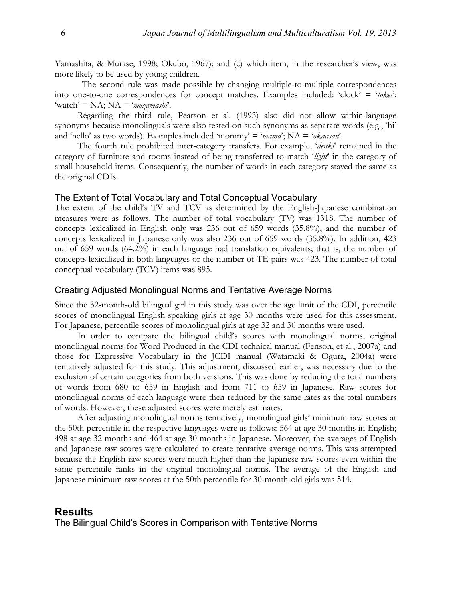Yamashita, & Murase, 1998; Okubo, 1967); and (c) which item, in the researcher's view, was more likely to be used by young children.

The second rule was made possible by changing multiple-to-multiple correspondences into one-to-one correspondences for concept matches. Examples included: 'clock' = '*tokei*'; 'watch' = NA; NA = '*mezamashi*'.

Regarding the third rule, Pearson et al. (1993) also did not allow within-language synonyms because monolinguals were also tested on such synonyms as separate words (e.g., 'hi' and 'hello' as two words). Examples included 'mommy' = '*mama*'; NA = '*okaasan*'.

The fourth rule prohibited inter-category transfers. For example, '*denki*' remained in the category of furniture and rooms instead of being transferred to match '*light*' in the category of small household items. Consequently, the number of words in each category stayed the same as the original CDIs.

# The Extent of Total Vocabulary and Total Conceptual Vocabulary

The extent of the child's TV and TCV as determined by the English-Japanese combination measures were as follows. The number of total vocabulary (TV) was 1318. The number of concepts lexicalized in English only was 236 out of 659 words (35.8%), and the number of concepts lexicalized in Japanese only was also 236 out of 659 words (35.8%). In addition, 423 out of 659 words (64.2%) in each language had translation equivalents; that is, the number of concepts lexicalized in both languages or the number of TE pairs was 423. The number of total conceptual vocabulary (TCV) items was 895.

#### Creating Adjusted Monolingual Norms and Tentative Average Norms

Since the 32-month-old bilingual girl in this study was over the age limit of the CDI, percentile scores of monolingual English-speaking girls at age 30 months were used for this assessment. For Japanese, percentile scores of monolingual girls at age 32 and 30 months were used.

In order to compare the bilingual child's scores with monolingual norms, original monolingual norms for Word Produced in the CDI technical manual (Fenson, et al., 2007a) and those for Expressive Vocabulary in the JCDI manual (Watamaki & Ogura, 2004a) were tentatively adjusted for this study. This adjustment, discussed earlier, was necessary due to the exclusion of certain categories from both versions. This was done by reducing the total numbers of words from 680 to 659 in English and from 711 to 659 in Japanese. Raw scores for monolingual norms of each language were then reduced by the same rates as the total numbers of words. However, these adjusted scores were merely estimates.

After adjusting monolingual norms tentatively, monolingual girls' minimum raw scores at the 50th percentile in the respective languages were as follows: 564 at age 30 months in English; 498 at age 32 months and 464 at age 30 months in Japanese. Moreover, the averages of English and Japanese raw scores were calculated to create tentative average norms. This was attempted because the English raw scores were much higher than the Japanese raw scores even within the same percentile ranks in the original monolingual norms. The average of the English and Japanese minimum raw scores at the 50th percentile for 30-month-old girls was 514.

# **Results**

The Bilingual Child's Scores in Comparison with Tentative Norms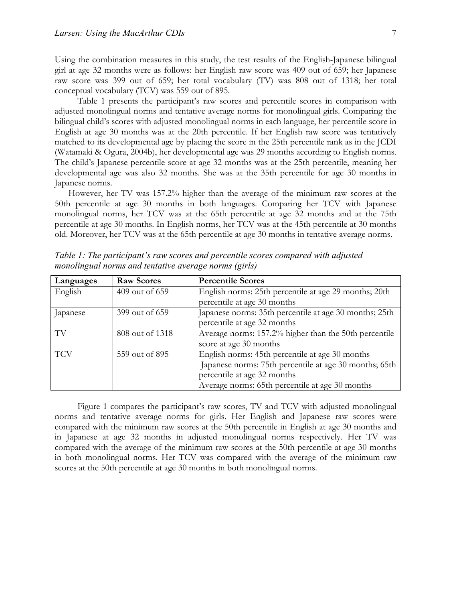Using the combination measures in this study, the test results of the English-Japanese bilingual girl at age 32 months were as follows: her English raw score was 409 out of 659; her Japanese raw score was 399 out of 659; her total vocabulary (TV) was 808 out of 1318; her total conceptual vocabulary (TCV) was 559 out of 895.

Table 1 presents the participant's raw scores and percentile scores in comparison with adjusted monolingual norms and tentative average norms for monolingual girls. Comparing the bilingual child's scores with adjusted monolingual norms in each language, her percentile score in English at age 30 months was at the 20th percentile. If her English raw score was tentatively matched to its developmental age by placing the score in the 25th percentile rank as in the JCDI (Watamaki & Ogura, 2004b), her developmental age was 29 months according to English norms. The child's Japanese percentile score at age 32 months was at the 25th percentile, meaning her developmental age was also 32 months. She was at the 35th percentile for age 30 months in Japanese norms.

However, her TV was 157.2% higher than the average of the minimum raw scores at the 50th percentile at age 30 months in both languages. Comparing her TCV with Japanese monolingual norms, her TCV was at the 65th percentile at age 32 months and at the 75th percentile at age 30 months. In English norms, her TCV was at the 45th percentile at 30 months old. Moreover, her TCV was at the 65th percentile at age 30 months in tentative average norms.

| Languages  | <b>Raw Scores</b> | <b>Percentile Scores</b>                               |
|------------|-------------------|--------------------------------------------------------|
| English    | 409 out of 659    | English norms: 25th percentile at age 29 months; 20th  |
|            |                   | percentile at age 30 months                            |
| apanese    | 399 out of 659    | Japanese norms: 35th percentile at age 30 months; 25th |
|            |                   | percentile at age 32 months                            |
| TV         | 808 out of 1318   | Average norms: 157.2% higher than the 50th percentile  |
|            |                   | score at age 30 months                                 |
| <b>TCV</b> | 559 out of 895    | English norms: 45th percentile at age 30 months        |
|            |                   | Japanese norms: 75th percentile at age 30 months; 65th |
|            |                   | percentile at age 32 months                            |
|            |                   | Average norms: 65th percentile at age 30 months        |

*Table 1: The participant's raw scores and percentile scores compared with adjusted monolingual norms and tentative average norms (girls)*

Figure 1 compares the participant's raw scores, TV and TCV with adjusted monolingual norms and tentative average norms for girls. Her English and Japanese raw scores were compared with the minimum raw scores at the 50th percentile in English at age 30 months and in Japanese at age 32 months in adjusted monolingual norms respectively. Her TV was compared with the average of the minimum raw scores at the 50th percentile at age 30 months in both monolingual norms. Her TCV was compared with the average of the minimum raw scores at the 50th percentile at age 30 months in both monolingual norms.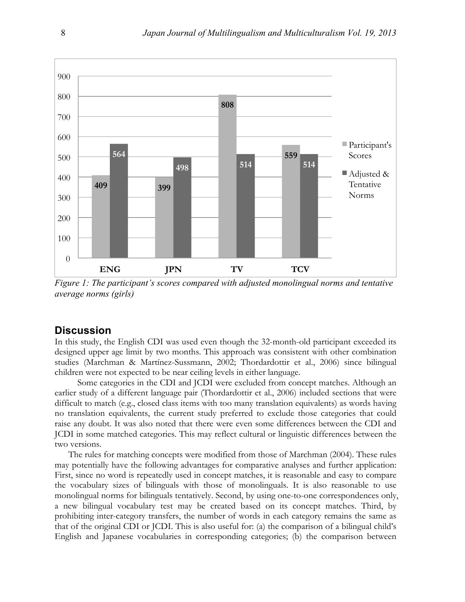

*Figure 1: The participant's scores compared with adjusted monolingual norms and tentative average norms (girls)*

# **Discussion**

In this study, the English CDI was used even though the 32-month-old participant exceeded its designed upper age limit by two months. This approach was consistent with other combination studies (Marchman & Martínez-Sussmann, 2002; Thordardottir et al., 2006) since bilingual children were not expected to be near ceiling levels in either language.

Some categories in the CDI and JCDI were excluded from concept matches. Although an earlier study of a different language pair (Thordardottir et al., 2006) included sections that were difficult to match (e.g., closed class items with too many translation equivalents) as words having no translation equivalents, the current study preferred to exclude those categories that could raise any doubt. It was also noted that there were even some differences between the CDI and JCDI in some matched categories. This may reflect cultural or linguistic differences between the two versions.

The rules for matching concepts were modified from those of Marchman (2004). These rules may potentially have the following advantages for comparative analyses and further application: First, since no word is repeatedly used in concept matches, it is reasonable and easy to compare the vocabulary sizes of bilinguals with those of monolinguals. It is also reasonable to use monolingual norms for bilinguals tentatively. Second, by using one-to-one correspondences only, a new bilingual vocabulary test may be created based on its concept matches. Third, by prohibiting inter-category transfers, the number of words in each category remains the same as that of the original CDI or JCDI. This is also useful for: (a) the comparison of a bilingual child's English and Japanese vocabularies in corresponding categories; (b) the comparison between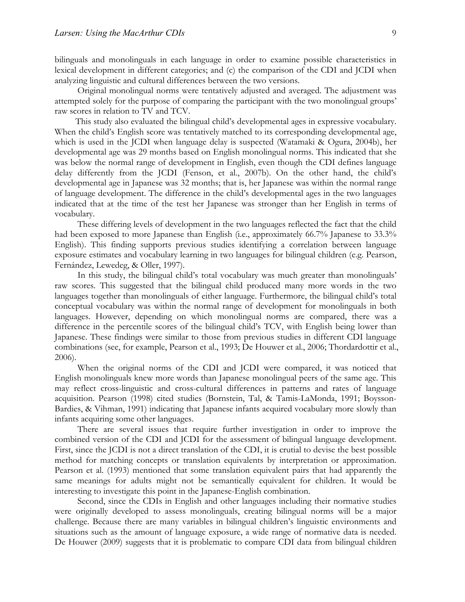bilinguals and monolinguals in each language in order to examine possible characteristics in lexical development in different categories; and (c) the comparison of the CDI and JCDI when analyzing linguistic and cultural differences between the two versions.

Original monolingual norms were tentatively adjusted and averaged. The adjustment was attempted solely for the purpose of comparing the participant with the two monolingual groups' raw scores in relation to TV and TCV.

This study also evaluated the bilingual child's developmental ages in expressive vocabulary. When the child's English score was tentatively matched to its corresponding developmental age, which is used in the JCDI when language delay is suspected (Watamaki & Ogura, 2004b), her developmental age was 29 months based on English monolingual norms. This indicated that she was below the normal range of development in English, even though the CDI defines language delay differently from the JCDI (Fenson, et al., 2007b). On the other hand, the child's developmental age in Japanese was 32 months; that is, her Japanese was within the normal range of language development. The difference in the child's developmental ages in the two languages indicated that at the time of the test her Japanese was stronger than her English in terms of vocabulary.

These differing levels of development in the two languages reflected the fact that the child had been exposed to more Japanese than English (i.e., approximately 66.7% Japanese to 33.3% English). This finding supports previous studies identifying a correlation between language exposure estimates and vocabulary learning in two languages for bilingual children (e.g. Pearson, Fernández, Lewedeg, & Oller, 1997).

In this study, the bilingual child's total vocabulary was much greater than monolinguals' raw scores. This suggested that the bilingual child produced many more words in the two languages together than monolinguals of either language. Furthermore, the bilingual child's total conceptual vocabulary was within the normal range of development for monolinguals in both languages. However, depending on which monolingual norms are compared, there was a difference in the percentile scores of the bilingual child's TCV, with English being lower than Japanese. These findings were similar to those from previous studies in different CDI language combinations (see, for example, Pearson et al., 1993; De Houwer et al., 2006; Thordardottir et al., 2006).

When the original norms of the CDI and JCDI were compared, it was noticed that English monolinguals knew more words than Japanese monolingual peers of the same age. This may reflect cross-linguistic and cross-cultural differences in patterns and rates of language acquisition. Pearson (1998) cited studies (Bornstein, Tal, & Tamis-LaMonda, 1991; Boysson-Bardies, & Vihman, 1991) indicating that Japanese infants acquired vocabulary more slowly than infants acquiring some other languages.

There are several issues that require further investigation in order to improve the combined version of the CDI and JCDI for the assessment of bilingual language development. First, since the JCDI is not a direct translation of the CDI, it is crutial to devise the best possible method for matching concepts or translation equivalents by interpretation or approximation. Pearson et al. (1993) mentioned that some translation equivalent pairs that had apparently the same meanings for adults might not be semantically equivalent for children. It would be interesting to investigate this point in the Japanese-English combination.

Second, since the CDIs in English and other languages including their normative studies were originally developed to assess monolinguals, creating bilingual norms will be a major challenge. Because there are many variables in bilingual children's linguistic environments and situations such as the amount of language exposure, a wide range of normative data is needed. De Houwer (2009) suggests that it is problematic to compare CDI data from bilingual children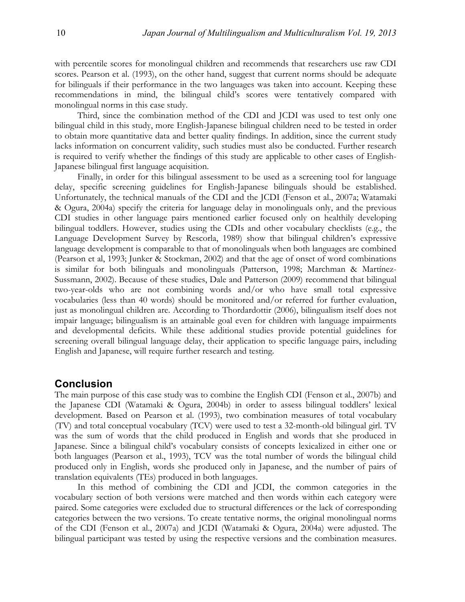with percentile scores for monolingual children and recommends that researchers use raw CDI scores. Pearson et al. (1993), on the other hand, suggest that current norms should be adequate for bilinguals if their performance in the two languages was taken into account. Keeping these recommendations in mind, the bilingual child's scores were tentatively compared with monolingual norms in this case study.

Third, since the combination method of the CDI and JCDI was used to test only one bilingual child in this study, more English-Japanese bilingual children need to be tested in order to obtain more quantitative data and better quality findings. In addition, since the current study lacks information on concurrent validity, such studies must also be conducted. Further research is required to verify whether the findings of this study are applicable to other cases of English-Japanese bilingual first language acquisition.

Finally, in order for this bilingual assessment to be used as a screening tool for language delay, specific screening guidelines for English-Japanese bilinguals should be established. Unfortunately, the technical manuals of the CDI and the JCDI (Fenson et al., 2007a; Watamaki & Ogura, 2004a) specify the criteria for language delay in monolinguals only, and the previous CDI studies in other language pairs mentioned earlier focused only on healthily developing bilingual toddlers. However, studies using the CDIs and other vocabulary checklists (e.g., the Language Development Survey by Rescorla, 1989) show that bilingual children's expressive language development is comparable to that of monolinguals when both languages are combined (Pearson et al, 1993; Junker & Stockman, 2002) and that the age of onset of word combinations is similar for both bilinguals and monolinguals (Patterson, 1998; Marchman & Martínez-Sussmann, 2002). Because of these studies, Dale and Patterson (2009) recommend that bilingual two-year-olds who are not combining words and/or who have small total expressive vocabularies (less than 40 words) should be monitored and/or referred for further evaluation, just as monolingual children are. According to Thordardottir (2006), bilingualism itself does not impair language; bilingualism is an attainable goal even for children with language impairments and developmental deficits. While these additional studies provide potential guidelines for screening overall bilingual language delay, their application to specific language pairs, including English and Japanese, will require further research and testing.

# **Conclusion**

The main purpose of this case study was to combine the English CDI (Fenson et al., 2007b) and the Japanese CDI (Watamaki & Ogura, 2004b) in order to assess bilingual toddlers' lexical development. Based on Pearson et al. (1993), two combination measures of total vocabulary (TV) and total conceptual vocabulary (TCV) were used to test a 32-month-old bilingual girl. TV was the sum of words that the child produced in English and words that she produced in Japanese. Since a bilingual child's vocabulary consists of concepts lexicalized in either one or both languages (Pearson et al., 1993), TCV was the total number of words the bilingual child produced only in English, words she produced only in Japanese, and the number of pairs of translation equivalents (TEs) produced in both languages.

In this method of combining the CDI and JCDI, the common categories in the vocabulary section of both versions were matched and then words within each category were paired. Some categories were excluded due to structural differences or the lack of corresponding categories between the two versions. To create tentative norms, the original monolingual norms of the CDI (Fenson et al., 2007a) and JCDI (Watamaki & Ogura, 2004a) were adjusted. The bilingual participant was tested by using the respective versions and the combination measures.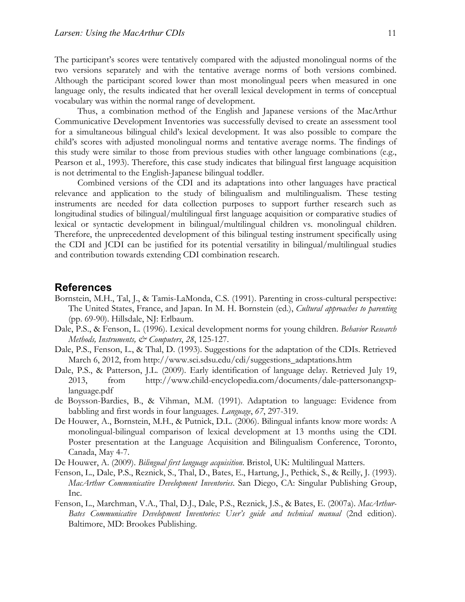The participant's scores were tentatively compared with the adjusted monolingual norms of the two versions separately and with the tentative average norms of both versions combined. Although the participant scored lower than most monolingual peers when measured in one language only, the results indicated that her overall lexical development in terms of conceptual vocabulary was within the normal range of development.

Thus, a combination method of the English and Japanese versions of the MacArthur Communicative Development Inventories was successfully devised to create an assessment tool for a simultaneous bilingual child's lexical development. It was also possible to compare the child's scores with adjusted monolingual norms and tentative average norms. The findings of this study were similar to those from previous studies with other language combinations (e.g., Pearson et al., 1993). Therefore, this case study indicates that bilingual first language acquisition is not detrimental to the English-Japanese bilingual toddler.

Combined versions of the CDI and its adaptations into other languages have practical relevance and application to the study of bilingualism and multilingualism. These testing instruments are needed for data collection purposes to support further research such as longitudinal studies of bilingual/multilingual first language acquisition or comparative studies of lexical or syntactic development in bilingual/multilingual children vs. monolingual children. Therefore, the unprecedented development of this bilingual testing instrument specifically using the CDI and JCDI can be justified for its potential versatility in bilingual/multilingual studies and contribution towards extending CDI combination research.

## **References**

- Bornstein, M.H., Tal, J., & Tamis-LaMonda, C.S. (1991). Parenting in cross-cultural perspective: The United States, France, and Japan. In M. H. Bornstein (ed.), *Cultural approaches to parenting* (pp. 69-90). Hillsdale, NJ: Erlbaum.
- Dale, P.S., & Fenson, L. (1996). Lexical development norms for young children. *Behavior Research Methods, Instruments, & Computers*, *28*, 125-127.
- Dale, P.S., Fenson, L., & Thal, D. (1993). Suggestions for the adaptation of the CDIs. Retrieved March 6, 2012, from http://www.sci.sdsu.edu/cdi/suggestions\_adaptations.htm
- Dale, P.S., & Patterson, J.L. (2009). Early identification of language delay. Retrieved July 19, 2013, from http://www.child-encyclopedia.com/documents/dale-pattersonangxplanguage.pdf
- de Boysson-Bardies, B., & Vihman, M.M. (1991). Adaptation to language: Evidence from babbling and first words in four languages. *Language*, *67*, 297-319.
- De Houwer, A., Bornstein, M.H., & Putnick, D.L. (2006). Bilingual infants know more words: A monolingual-bilingual comparison of lexical development at 13 months using the CDI. Poster presentation at the Language Acquisition and Bilingualism Conference, Toronto, Canada, May 4-7.
- De Houwer, A. (2009). *Bilingual first language acquisition*. Bristol, UK: Multilingual Matters.
- Fenson, L., Dale, P.S., Reznick, S., Thal, D., Bates, E., Hartung, J., Pethick, S., & Reilly, J. (1993). *MacArthur Communicative Development Inventories*. San Diego, CA: Singular Publishing Group, Inc.
- Fenson, L., Marchman, V.A., Thal, D.J., Dale, P.S., Reznick, J.S., & Bates, E. (2007a). *MacArthur-Bates Communicative Development Inventories: User's guide and technical manual* (2nd edition). Baltimore, MD: Brookes Publishing.